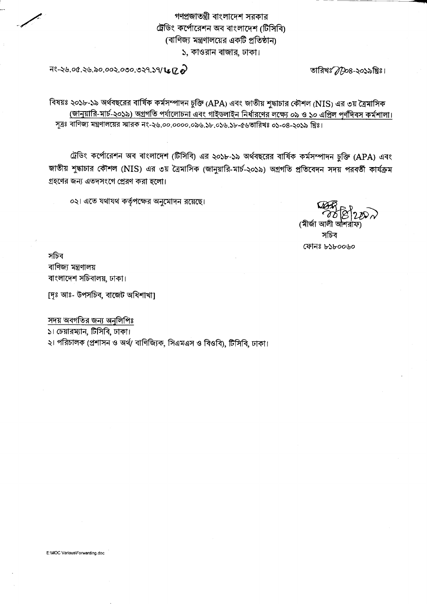গণপ্রজাতন্ত্রী বাংলাদেশ সরকার ট্রেডিং কর্পোরেশন অব বাংলাদেশ (টিসিবি) (বাণিজ্য মন্ত্রণালয়ের একটি প্রতিষ্ঠান) ১, কাওরান বাজার, ঢাকা।

 $79.29.00.29.50.002.000.029.59/L12.9$ 

তারিখঃ 77908-২০১৯খ্রিঃ।

বিষয়ঃ ২০১৮-১৯ অর্থবছরের বার্ষিক কর্মসম্পাদন চুক্তি (APA) এবং জাতীয় শুদ্ধাচার কৌশল (NIS) এর ৩য় ত্রৈমাসিক (জানুয়ারি-মার্চ-২০১৯) অগ্রগতি পর্যালোচনা এবং গাইডলাইন নির্ধারণের লক্ষ্যে ০৯ ও ১০ এপ্রিল পূর্ণদিবস কর্মশালা। সূত্রঃ বাণিজ্য মন্ত্রণালয়ের স্মারক নং-২৬.০০.০০০০.০৯৬.১৮.০১৬.১৮-৫৬তারিখঃ ০১-০৪-২০১৯ খ্রিঃ।

ট্রেডিং কর্পোরেশন অব বাংলাদেশ (টিসিবি) এর ২০১৮-১৯ অর্থবছরের বার্ষিক কর্মসম্পাদন চুক্তি (APA) এবং জাতীয় শুদ্ধাচার কৌশল (NIS) এর ৩য় ত্রৈমাসিক (জানুয়ারি-মার্চ-২০১৯) অগ্রগতি প্রতিবেদন সদয় পরবর্তী কার্যক্রম গ্রহণের জন্য এতদসংগে প্রেরণ করা হলো।

০২। এতে যথাযথ কর্তৃপক্ষের অনুমোদন রয়েছে।

(মীৰ্জা অ সচিব

ফোনঃ ৮১৮০০৬০

সচিব বাণিজ্য মন্ত্ৰণালয় বাংলাদেশ সচিবালয়, ঢাকা।

[দৃঃ আঃ- উপসচিব, বাজেট অধিশাখা]

সদয় অবগতির জন্য অনুলিপিঃ

১। চেয়ারম্যান, টিসিবি, ঢাকা।

২। পরিচালক (প্রশাসন ও অর্থ/ বাণিজ্যিক, সিএমএস ও বিওবি), টিসিবি, ঢাকা।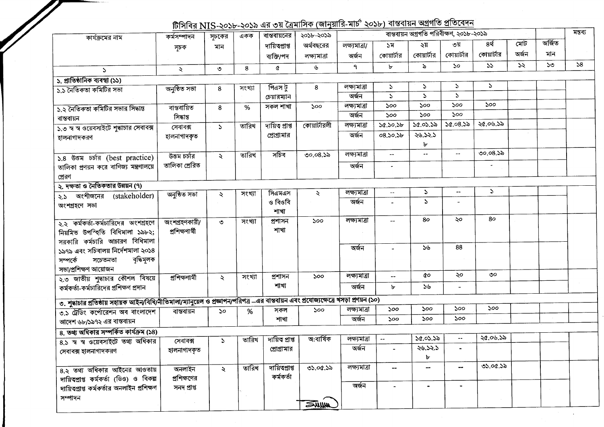## <del>ট্লিসিবি</del>র NIIS ১০১৮-১০১১ এর ৩য় ক্রিয়াসিক (জানয়ারি-মার্চ' ২০১৮) বাস্তবায়ন অগ্রগতি প্রতিবেদন

| কার্যক্রমের নাম                                                                                                                         | কৰ্মসম্পাদন           | সূচকের               | একক    | বান্তবায়নের   | $101$ 198 IN 13-2030-2030 GR OR COMPLETE CAPTAILLET CODE IN CHAIN<br>২০১৮-২০১৯ |               |                          | বান্তবায়ন অগ্রগতি পরিবীক্ষণ, ২০১৮-২০১৯ |                                               |                |       |              | মন্তব্য |
|-----------------------------------------------------------------------------------------------------------------------------------------|-----------------------|----------------------|--------|----------------|--------------------------------------------------------------------------------|---------------|--------------------------|-----------------------------------------|-----------------------------------------------|----------------|-------|--------------|---------|
|                                                                                                                                         | সূচক                  | মান                  |        | দায়িত্প্ৰাপ্ত | অর্থবছরের                                                                      | লক্ষ্যমাত্ৰা/ | ১ম                       | ২য়                                     | ৩য়                                           | ৪র্থ           | মোট   | অৰ্জিত       |         |
|                                                                                                                                         |                       |                      |        | ব্যক্তি/পদ     | লক্ষ্যমাত্ৰা                                                                   | অৰ্জন         | কোয়ার্টার               | কোয়ার্টার                              | কোয়ার্টার                                    | কোয়ার্টার     | অৰ্জন | মান          |         |
| $\mathcal{L}$                                                                                                                           | $\mathcal{L}$         | $\circ$              | 8      | ¢              | ৬                                                                              | ٩             | ৮                        | ৯                                       | $\mathcal{S}^{\mathcal{O}}$                   | 55             | ১২    | $50^{\circ}$ | 58      |
| ১. প্রাতিষ্ঠানিক ব্যবস্থা (১১)                                                                                                          |                       |                      |        |                |                                                                                |               |                          |                                         |                                               |                |       |              |         |
| ১.১ নৈতিকতা কমিটির সভা                                                                                                                  | অনুষ্ঠিত সভা          | 8                    | সংখ্যা | পিএস টু        | 8                                                                              | লক্ষ্যমাত্ৰা  | $\Delta$                 | $\mathcal{L}$                           | S.                                            | S.             |       |              |         |
|                                                                                                                                         |                       |                      |        | চেয়ারম্যান    |                                                                                | অৰ্জন         | $\Delta$                 | $\mathcal{L}$                           | $\mathcal{L}$                                 |                |       |              |         |
| ১.২ নৈতিকতা কমিটির সভার সিদ্ধান্ত                                                                                                       | ৰান্তবায়িত           | 8                    | $\%$   | সকল শাখা       | 500                                                                            | লক্ষ্যমাত্ৰা  | 500                      | ১০০                                     | ১০০                                           | ১০০            |       |              |         |
| বান্তবায়ন                                                                                                                              | সিদ্ধান্ত             |                      |        |                |                                                                                | অৰ্জন         | 500                      | 500                                     | 500                                           |                |       |              |         |
| ১.৩ স্ব স্ব ওয়েবসাইটে শুদ্ধাচার সেবাবক্স                                                                                               | সেবাবক্স              | $\mathcal{L}$        | তারিখ  | দায়িত প্ৰাপ্ত | কোয়ার্টারলী                                                                   | লক্ষ্যমাত্ৰা  | 50.50.5b                 | 50.05.55                                | 50.08.55                                      | ২৫.০৬.১৯       |       |              |         |
| হালনাগাদকরণ                                                                                                                             | হালনাগাদকৃত           |                      |        | প্রোগ্রামার    |                                                                                | অৰ্জন         | 08.50.5b                 | ২৬.১২.১                                 |                                               |                |       |              |         |
|                                                                                                                                         |                       |                      |        |                |                                                                                |               |                          | Ъ                                       |                                               |                |       |              |         |
| ১.৪ উত্তম চৰ্চার (best practice)                                                                                                        | উত্তম চৰ্চার          | $\ddot{\sim}$        | তারিখ  | সচিব           | ৩০.০৪.১৯                                                                       | লক্ষ্যমাত্ৰা  | $\mathbf{L}$             |                                         | $\mathcal{L}_{\mathcal{F}}$                   | ৩০.০৪.১৯       |       |              |         |
| তালিকা প্রণয়ন করে বাণিজ্য মন্ত্রণালয়ে                                                                                                 | তালিকা প্ৰেরিত        |                      |        |                |                                                                                | অৰ্জন         | $\sim$                   |                                         |                                               | $\blacksquare$ |       |              |         |
| প্রেরণ                                                                                                                                  |                       |                      |        |                |                                                                                |               |                          |                                         |                                               |                |       |              |         |
| ২. দক্ষতা ও নৈতিকতার উন্নয়ন (৭)                                                                                                        |                       |                      |        |                |                                                                                |               |                          |                                         |                                               |                |       |              |         |
| ২.১ অংশীজনের (stakeholder)                                                                                                              | অনুষ্ঠিত সভা          | ₹                    | সংখ্যা | সিএমএস         | $\ddot{\mathbf{z}}$                                                            | লক্ষ্যমাত্ৰা  | $ \sim$                  | $\Delta$                                | $\mathord{\hspace{1pt}\text{--}\hspace{1pt}}$ | $\mathcal{L}$  |       |              |         |
| অংশগ্ৰহণে সভা                                                                                                                           |                       |                      |        | ও বিওবি        |                                                                                | অৰ্জন         |                          | $\Delta$                                |                                               |                |       |              |         |
|                                                                                                                                         |                       |                      |        | শাখা           |                                                                                |               |                          |                                         |                                               |                |       |              |         |
| ২.২ কর্মকর্তা-কর্মচারিদের অংশগ্রহণে                                                                                                     | অংশগ্ৰহণকারী/         | $\circ$              | সংখ্যা | প্ৰশাসন        | 500                                                                            | লক্ষ্যমাত্ৰা  |                          | 80                                      | ২০                                            | 80             |       |              |         |
| নিয়মিত উপস্হিতি বিধিমালা ১৯৮২;                                                                                                         | প্ৰশিক্ষণাৰ্থী        |                      |        | শাখা           |                                                                                |               |                          |                                         |                                               |                |       |              |         |
| সরকারি কর্মচারি আচারণ বিধিমালা                                                                                                          |                       |                      |        |                |                                                                                |               |                          |                                         |                                               |                |       |              |         |
| ১৯৭৯ এবং সচিবালয় নির্দেশমালা ২০১৪                                                                                                      |                       |                      |        |                |                                                                                | অৰ্জন         |                          | ১৬                                      | 88                                            |                |       |              |         |
| বৃদ্ধিমূলক<br>সচেতনতা<br>সম্পৰ্কে                                                                                                       |                       |                      |        |                |                                                                                |               |                          |                                         |                                               |                |       |              |         |
| সভা/প্ৰশিক্ষণ আয়োজন                                                                                                                    |                       |                      |        |                |                                                                                |               |                          |                                         |                                               |                |       |              |         |
| ২.৩ জাতীয় শুদ্ধাচার কৌশল বিষয়ে                                                                                                        | <u>প্ৰশিক্ষণাৰ্থী</u> | $\ddot{\sim}$        | সংখ্যা | প্ৰশাসন        | ১০০                                                                            | লক্ষ্যমাত্ৰা  | ⊷                        | QО                                      | ২০                                            | ৩০             |       |              |         |
| কর্মকর্তা-কর্মচারিদের প্রশিক্ষণ প্রদান                                                                                                  |                       |                      |        | শাখা           |                                                                                | অৰ্জন         | Ъ                        | 56                                      | $\blacksquare$                                |                |       |              |         |
| ৩. শুদ্ধাচার প্রতিষ্ঠায় সহায়ক আইন/বিধি/নীতিমালা/ম্যানুয়েল ও প্রজ্ঞাপন/পরিপত্র –এর বাস্তবায়ন এবং প্রযোজ্যক্ষেত্রে খসড়া প্রণয়ন (১০) |                       |                      |        |                |                                                                                |               |                          |                                         |                                               |                |       |              |         |
|                                                                                                                                         |                       |                      |        | সকল            | 500                                                                            | লক্ষ্যমাত্ৰা  | ১০০                      | ১০০                                     | ১০০                                           | 500            |       |              |         |
| ৩.১ ট্রেডিং কর্পোরেশন অব বাংলাদেশ                                                                                                       | বাস্তবায়ন            | ১০                   | %      | শাখা           |                                                                                | অৰ্জন         | ১০০                      | ১০০                                     | ১০০                                           |                |       |              |         |
| আদেশ ৬৮/১৯৭২ এর বাস্তবায়ন                                                                                                              |                       |                      |        |                |                                                                                |               |                          |                                         |                                               |                |       |              |         |
| ৪. তথ্য অধিকার সম্পর্কিত কার্যক্রম (১৪)                                                                                                 |                       |                      | তারিখ  | দায়িত প্ৰাপ্ত | অ:বাৰ্ষিক                                                                      | লক্ষ্যমাত্ৰা  | $\overline{\phantom{a}}$ | 50.05.55                                | $\mathbf{u}$                                  | ২৫.০৬.১৯       |       |              |         |
| 8.১ স্ব স্ব ওয়েবসাইটে তথ্য অধিকার                                                                                                      | সেবাবক্স              | $\mathcal{L}$        |        | প্রোগ্রামার    |                                                                                | অৰ্জন         |                          | 28.52.5                                 |                                               |                |       |              |         |
| সেবাবক্স হালনাগাদকরণ                                                                                                                    | হালনাগাদকৃত           |                      |        |                |                                                                                |               |                          | Ъ                                       |                                               |                |       |              |         |
|                                                                                                                                         |                       |                      | তারিখ  | দায়িতপ্রাপ্ত  | ৩১.০৫.১৯                                                                       | লক্ষ্যমাত্ৰা  |                          | --                                      | $\overline{\phantom{a}}$                      | ৩১.০৫.১৯       |       |              |         |
| 8.২ তথ্য অধিকার আইনের আওতায়                                                                                                            | অনলাইন                | $\ddot{\mathcal{L}}$ |        | কৰ্মকৰ্তা      |                                                                                |               | --                       |                                         |                                               |                |       |              |         |
| দায়িত্বপ্রাপ্ত কর্মকর্তা (ডিও) ও বিকল্প                                                                                                | প্রশিক্ষণের           |                      |        |                |                                                                                | অৰ্জন         |                          |                                         | $\blacksquare$                                |                |       |              |         |
| দায়িত্বপ্রাপ্ত কর্মকর্তার অনলাইন প্রশিক্ষণ                                                                                             | সনদ প্ৰাপ্ত           |                      |        |                |                                                                                |               |                          |                                         |                                               |                |       |              |         |
| সম্পাদন                                                                                                                                 |                       |                      |        |                | <b><i>FALLIA</i></b>                                                           |               |                          |                                         |                                               |                |       |              |         |
|                                                                                                                                         |                       |                      |        |                |                                                                                |               |                          |                                         |                                               |                |       |              |         |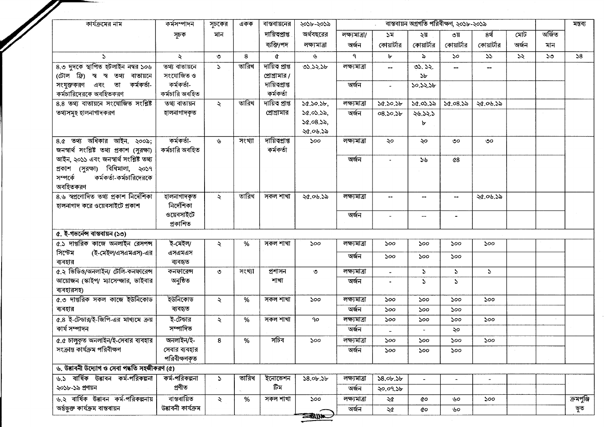| কার্যক্রমের নাম                                            | কৰ্মসম্পাদন               | সূচকের              | একক    | বান্তবায়নের   | ২০১৮-২০১৯       |               |                 | মন্তব্য        |                          |                          |       |        |            |
|------------------------------------------------------------|---------------------------|---------------------|--------|----------------|-----------------|---------------|-----------------|----------------|--------------------------|--------------------------|-------|--------|------------|
|                                                            | সূচক                      | মান                 |        | দায়িত্থাপ্ত   | অর্থবছরের       | লক্ষ্যমাত্ৰা/ | ১ম              | ২য়            | ৩য়                      | ৪র্থ                     | মোট   | অৰ্জিত |            |
|                                                            |                           |                     |        | ব্যক্তি/পদ     | লক্ষ্যমাত্ৰা    | অৰ্জন         | কোয়ার্টার      | কোয়ার্টার     | কোয়ার্টার               | কোয়ার্টার               | অৰ্জন | মান    |            |
| $\Delta$                                                   | $\ddot{\sim}$             | $\circ$             | 8      | ¢              | ىل              | ٩             | Ъ               | ৯              | ১০                       | 55                       | 55    | ১৩     | 58         |
| 8.৩ দুদকে স্থাপিত হটলাইন নম্বর ১০৬                         | তথ্য বাতায়নে             | $\mathbf{r}$        | তারিখ  | দায়িত প্ৰাপ্ত | ৩১.১২.১৮        | লক্ষ্যমাত্ৰা  |                 | 03.32.         |                          |                          |       |        |            |
| (টোল ফ্রি) স্ব স্ব তথ্য বাতায়নে                           | সংযোজিত ও                 |                     |        | প্রোগ্রামার /  |                 |               |                 | 5 <sub>b</sub> |                          |                          |       |        |            |
| কৰ্মকৰ্তা-<br>সংযুক্তকরণ এবং তা                            | কৰ্মকৰ্তা-                |                     |        | দায়িতপ্ৰাপ্ত  |                 | অৰ্জন         |                 | ১০.১২.১৮       |                          |                          |       |        |            |
| কর্মচারিদেরকে অবহিতকরণ                                     | কৰ্মচারি অবহিত            |                     |        | কৰ্মকৰ্তা      |                 |               |                 |                |                          |                          |       |        |            |
| 8.8 তথ্য বাতায়নে সংযোজিত সংশ্লিষ্ট                        | তথ্য বাতায়ন              | $\ddot{\mathbf{z}}$ | তারিখ  | দায়িত প্ৰাপ্ত | 50.50.56        | লক্ষ্যমাত্ৰা  | 50.50.5b        | 50.05.55       | 50.08.55                 | ২৫.০৬.১৯                 |       |        |            |
| তথ্যসমূহ হালনাগাদকরণ                                       | হালনাগাদকৃত               |                     |        | প্রোগ্রামার    | 50.05.55,       | অৰ্জন         | 08.50.5b        | ২৬.১২.১        |                          |                          |       |        |            |
|                                                            |                           |                     |        |                | 50.08.55,       |               |                 | ৮              |                          |                          |       |        |            |
|                                                            |                           |                     |        |                | ২৫.০৬.১৯        |               |                 |                |                          |                          |       |        |            |
| $8.6$ তথ্য অধিকার আইন. ২০০৯;                               | কৰ্মকৰ্তা-                | ىل                  | সংখ্যা | দায়িত্প্রাপ্ত | 500             | লক্ষ্যমাত্ৰা  | ২০              | ২০             | ৩০                       | ৩০                       |       |        |            |
| জনস্বার্থ সংশ্লিষ্ট তথ্য প্রকাশ (সুরক্ষা)                  | কর্মচারি অবহিত            |                     |        | কৰ্মকৰ্তা      |                 |               |                 |                |                          |                          |       |        |            |
| আইন, ২০১১ এবং জনস্বার্থ সংশ্লিষ্ট তথ্য                     |                           |                     |        |                |                 | অৰ্জন         |                 | ১৬             | $\alpha$ 8               |                          |       |        |            |
| প্ৰকাশ (সুরক্ষা) বিধিমালা, ২০১৭<br>কর্মকর্তা-কর্মচারিদেরকে |                           |                     |        |                |                 |               |                 |                |                          |                          |       |        |            |
| সম্পৰ্কে<br>অবহিতকরণ                                       |                           |                     |        |                |                 |               |                 |                |                          |                          |       |        |            |
| 8.৬ স্বপ্রণোদিত তথ্য প্রকাশ নির্দেশিকা                     |                           |                     | তারিখ  | সকল শাখা       |                 | লক্ষ্যমাত্ৰা  |                 |                |                          |                          |       |        |            |
| হালনাগাদ করে ওয়েবসাইটে প্রকাশ                             | হালনাগাদকৃত<br>নিৰ্দেশিকা | $\ddot{\mathbf{z}}$ |        |                | ২৫.০৬.১৯        |               |                 | --             |                          | ২৫.০৬.১৯                 |       |        |            |
|                                                            | ওয়েবসাইটে                |                     |        |                |                 | অৰ্জন         |                 |                |                          |                          |       |        |            |
|                                                            | প্ৰকাশিত                  |                     |        |                |                 |               |                 | --             |                          |                          |       |        |            |
| ৫. ই-গভর্নেন্স বাস্তবায়ন (১৩)                             |                           |                     |        |                |                 |               |                 |                |                          |                          |       |        |            |
| ৫.১ দাপ্তরিক কাজে অনলাইন রেসপন্স                           | ই-মেইল/                   | $\ddot{\mathbf{z}}$ | %      | সকল শাখা       | ১০০             | লক্ষ্যমাত্ৰা  | ১০০             | 500            | ১০০                      | ১০০                      |       |        |            |
| সিস্টেম<br>(ই-মেইল/এসএমএস)-এর                              | এসএমএস                    |                     |        |                |                 | অৰ্জন         | 500             | 500            | 500                      |                          |       |        |            |
| ব্যবহার                                                    | ব্যবহৃত                   |                     |        |                |                 |               |                 |                |                          |                          |       |        |            |
| ৫.২ ভিডিও/অনলাইন/ টেলি-কনফারেন্স                           | কনফারেন্স                 | ৩                   | সংখ্যা | প্ৰশাসন        | $\circ$         | লক্ষ্যমাত্ৰা  | $\sim$          | $\mathcal{L}$  | $\mathcal{L}$            | $\mathcal{L}$            |       |        |            |
| আয়োজন (স্কাইপ/ ম্যাসেম্জার, ভাইবার                        | অনুষ্ঠিত                  |                     |        | শাখা           |                 | অৰ্জন         |                 | S.             | $\mathcal{L}$            |                          |       |        |            |
| ব্যবহারসহ)                                                 |                           |                     |        |                |                 |               |                 |                |                          |                          |       |        |            |
| ৫.৩ দাপ্তরিক সকল কাজে ইউনিকোড                              | ইউনিকোড                   | $\lambda$           | %      | সকল শাখা       | ১০০             | লক্ষ্যমাত্ৰা  | ১০০             | soo            | ১০০                      | 500                      |       |        |            |
| ব্যবহার                                                    | ব্যবহৃত                   |                     |        |                |                 | অৰ্জন         | 500             | ১০০            | ১০০                      |                          |       |        |            |
| ৫.৪ ই-টেন্ডার/ই-জিপি-এর মাধ্যমে ক্রয়                      | ই-টেন্ডার                 | ₹                   | %      | সকল শাখা       | 90              | লক্ষ্যমাত্ৰা  | ১০০             | ১০০            | ১০০                      | 500                      |       |        |            |
| কাৰ্য সম্পাদন                                              | সম্পাদিত                  |                     |        |                |                 | অৰ্জন         |                 |                | ২০                       |                          |       |        |            |
| ৫.৫ চালুকৃত অনলাইন/ই-সেবার ব্যবহার                         | অনলাইন/ই-                 | 8                   | %      | সাচব           | ১০০             | লক্ষ্যমাত্ৰা  | ১০০             | ১০০            | ১০০                      | ১০০                      |       |        |            |
| সংক্ৰান্ত কাৰ্যক্ৰম পরিবীক্ষণ                              | সেবার ব্যবহার             |                     |        |                |                 | অৰ্জন         | 500             | ১০০            | 500                      |                          |       |        |            |
|                                                            | পরিবীক্ষণকৃত              |                     |        |                |                 |               |                 |                |                          |                          |       |        |            |
| ৬. উদ্ভাবনী উদ্যোগ ও সেবা পদ্ধতি সহজীকরণ (৫)               |                           |                     |        |                |                 |               |                 |                |                          |                          |       |        |            |
| ৬.১ বাৰ্ষিক উদ্ভাবন কৰ্ম-পরিকল্পনা                         | কৰ্ম-পরিকল্পনা            | $\Delta$            | তারিখ  | ইনোভেশন        | $58.0$ b. $5$ b | লক্ষ্যমাত্ৰা  | $58.0$ b. $3$ b |                | $\overline{\phantom{0}}$ | $\overline{\phantom{a}}$ |       |        |            |
| ২০১৮-১৯ প্রণয়ন                                            | প্ৰণীত                    |                     |        | টিম            |                 | অৰ্জন         | ২০.০৭.১৮        |                |                          |                          |       |        |            |
| ৬.২ বার্ষিক উদ্ভাবন কর্ম-পরিকল্পনায়                       | বাস্তবায়িত               | ₹                   | %      | সকল শাখা       | 500             | লক্ষ্যমাত্ৰা  | ২৫              | QΟ             | ৬০                       | 500                      |       |        | ক্রমপুঞ্জি |
| অৰ্ন্তুক্ত কাৰ্যক্ৰম বান্তবায়ন                            | উৱাবনী কাৰ্যক্ৰম          |                     |        |                |                 | অৰ্জন         | ২৫              | QО             | ৬০                       |                          |       |        | ভূত        |
|                                                            |                           |                     |        |                | <b>ANDER</b>    |               |                 |                |                          |                          |       |        |            |

٠,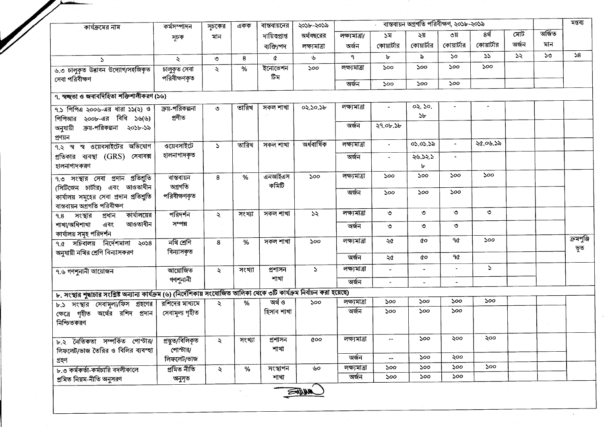| কার্যক্রমের নাম                                                                                                            | কৰ্মসম্পাদন            | সূচকের              | একক    | বাস্তবায়নের    | ২০১৮-২০১৯    |               |                          | বাস্তবায়ন অগ্রগতি পরিবীক্ষণ, ২০১৮-২০১৯ |                  |            |       |        | মন্তব্য    |
|----------------------------------------------------------------------------------------------------------------------------|------------------------|---------------------|--------|-----------------|--------------|---------------|--------------------------|-----------------------------------------|------------------|------------|-------|--------|------------|
|                                                                                                                            | সূচক                   | মান                 |        | দায়িত্বপ্রাপ্ত | অর্থবছরের    | লক্ষ্যমাত্ৰা/ | ১ম                       | ২য়                                     | ৩য়              | ৪র্থ       | মোট   | অৰ্জিত |            |
|                                                                                                                            |                        |                     |        | ব্যক্তি/পদ      | লক্ষ্যমাত্ৰা | অৰ্জন         | কোয়ার্টার               | কোয়ার্টার                              | কোয়ার্টার       | কোয়ার্টার | অৰ্জন | মান    |            |
| $\mathcal{L}$                                                                                                              | ২                      | $\circ$             | 8      | ¢               | y            | ٩             | ৮                        | $\delta$                                | 50               | 55         | 55    | ১৩     | 58         |
| ৬.৩ চালুকৃত উদ্ভাবন উদ্যোগ/সহজিকৃত                                                                                         | চালুকৃত সেবা           | $\lambda$           | %      | ইনোভেশন<br>টিম  | ১০০          | লক্ষ্যমাত্ৰা  | 500                      | 500                                     | 500              | 500        |       |        |            |
| সেবা পরিবীক্ষণ                                                                                                             | পরিবীক্ষণকৃত           |                     |        |                 |              | অৰ্জন         | 500                      | ১০০                                     | 500              |            |       |        |            |
| ৭. স্বচ্ছতা ও জবাবদিহিতা শক্তিশালীকরণ (১৬)                                                                                 |                        |                     |        |                 |              |               |                          |                                         |                  |            |       |        |            |
| $9.5$ পিপিএ ২০০৬-এর ধারা ১১(২) ও                                                                                           | ক্রয়-পরিকল্পনা        | $\circ$             | তারিখ  | সকল শাখা        | 02.50.5b     | লক্ষ্যমাত্ৰা  | $\blacksquare$           | 02.50.                                  |                  |            |       |        |            |
| পিপিআর ২০০৮-এর বিধি ১৬(৬)                                                                                                  | প্ৰণীত                 |                     |        |                 |              |               |                          | ১৮                                      |                  |            |       |        |            |
| ক্রয়-পরিকল্পনা ২০১৮-১৯<br>অনুযায়ী<br>প্ৰণয়ন                                                                             |                        |                     |        |                 |              | অৰ্জন         | ২৭.০৮.১৮                 |                                         |                  |            |       |        |            |
| ৭.২ স্ব স্ব ওয়েবসাইটের অভিযোগ                                                                                             | <u>ওয়েবসাইটে</u>      | $\mathcal{L}$       | তারিখ  | সকল শাখা        | অৰ্ধবাৰ্ষিক  | লক্ষ্যমাত্ৰা  |                          | 05.05.52                                | $\blacksquare$   | ২৫.০৬.১৯   |       |        |            |
| প্রতিকার ব্যবস্থা (GRS) সেবাবক্স<br>হালনাগাদকরণ                                                                            | হালনাগাদকৃত            |                     |        |                 |              | অৰ্জন         |                          | ২৬.১২.১<br>৮                            |                  |            |       |        |            |
| ৭.৩ সংস্থার সেবা প্রদান প্রতিশ্রুতি                                                                                        | বান্তবায়ন             | 8                   | $\%$   | এনআইএস          | ১০০          | লক্ষ্যমাত্ৰা  | ১০০                      | 500                                     | ১০০              | ১০০        |       |        |            |
| (সিটিজেন চার্টার) এবং আওতাধীন                                                                                              | অগ্ৰগতি                |                     |        | কমিটি           |              |               |                          |                                         |                  |            |       |        |            |
| কার্যালয় সমূহের সেবা প্রদান প্রতিশ্রুতি<br>বান্তবায়ন অগ্ৰগতি পরিবীক্ষণ                                                   | পরিবীক্ষণকৃত           |                     |        |                 |              | অৰ্জন         | ১০০                      | ১০০                                     | ১০০              |            |       |        |            |
| কার্যালয়ের<br>$9.8$ সংস্থার<br>প্ৰধান                                                                                     | পরিদর্শন               | ₹                   | সংখ্যা | সকল শাখা        | ১২           | লক্ষ্যমাত্ৰা  | ৩                        | ৩                                       | $\circ$          | $\circ$    |       |        |            |
| শাখা/অধিশাখা<br>আওতাধীন<br>এবং                                                                                             | সম্পন্ন                |                     |        |                 |              | অৰ্জন         | $\circ$                  | ৩                                       | $\circ$          |            |       |        |            |
| কাৰ্যালয় সমূহ পরিদর্শন<br>৭.৫ সচিবালয় নির্দেশমালা ২০১৪                                                                   | নথি শ্ৰেণি             | 8                   | %      | সকল শাখা        | ১০০          | লক্ষ্যমাত্ৰা  | ২৫                       | CO                                      | ዓ৫               | 500        |       |        | ক্ৰমপুঞ্জি |
| অনুযায়ী নথির শ্রেণি বিন্যাসকরণ                                                                                            | বিন্যাসকৃত             |                     |        |                 |              |               |                          |                                         |                  |            |       |        | ভূত        |
|                                                                                                                            |                        |                     |        |                 |              | অৰ্জন         | ২৫                       | QΟ                                      | ዓ $\pmb{\alpha}$ |            |       |        |            |
| ৭.৬ গণশুনানী আয়োজন                                                                                                        | আয়োজিত                | $\ddot{\mathbf{z}}$ | সংখ্যা | প্ৰশাসন         | $\Delta$     | লক্ষ্যমাত্ৰা  |                          |                                         |                  | S.         |       |        |            |
|                                                                                                                            | গণশুনানী               |                     |        | শাখা            |              | অৰ্জন         |                          | $\overline{\phantom{a}}$                | $\blacksquare$   |            |       |        |            |
| ৮. সংস্থার শুদ্ধাচার সংশ্লিষ্ট অন্যান্য কার্যক্রম (৬) (নির্দেশিকায় সংযোজিত তালিকা থেকে ৩টি কার্যক্রম নির্বাচন করা হয়েছে) |                        |                     |        |                 |              |               |                          |                                         |                  |            |       |        |            |
| ৮.১ সংস্থার সেবামূল্য/ফিস গ্রহণের                                                                                          | রশিদের মাধ্যমে         | $\ddot{\sim}$       | %      | অৰ্থ ও          | 500          | লক্ষ্যমাত্ৰা  | ১০০                      | ১০০                                     | ১০০              | 500        |       |        |            |
| ক্ষেত্রে গৃহীত অর্থের রশিদ প্রদান                                                                                          | সেবামূল্য গৃহীত        |                     |        | হিসাব শাখা      |              | অৰ্জন         | ১০০                      | ১০০                                     | ১০০              |            |       |        |            |
| নিশ্চিতকরণ                                                                                                                 |                        |                     |        |                 |              |               |                          |                                         |                  |            |       |        |            |
| ৮.২ নৈতিকতা সম্পৰ্কিত পোস্টাৱ/ প্ৰস্তুত/বিলিকৃত                                                                            |                        | $\ddot{\sim}$       | সংখ্যা | প্ৰশাসন<br>শাখা | QOO          | লক্ষ্যমাত্ৰা  | $\overline{\phantom{a}}$ | ১০০                                     | ২০০              | ২০০        |       |        |            |
| লিফলেট/ভাজ তৈরির ও বিলির ব্যবস্হা                                                                                          | পোস্টার/<br>লিফলেট/ভাজ |                     |        |                 |              | অৰ্জন         |                          | ১০০                                     | ২০০              |            |       |        |            |
| গ্ৰহণ<br>৮.৩ কর্মকর্তা-কর্মচারি বদলীকালে                                                                                   | প্ৰমিত নীতি            | $\mathcal{L}$       | %      | সংস্থাপন        | ৬০           | লক্ষ্যমাত্ৰা  | 500                      | 500                                     | ১০০              | ১০০        |       |        |            |
| প্ৰমিত নিয়ম-নীতি অনুসরণ                                                                                                   | অনুসৃত                 |                     |        | শাখা            |              | অৰ্জন         | ১০০                      | ১০০                                     | ১০০              |            |       |        |            |
|                                                                                                                            |                        |                     |        |                 | <b>ANNA</b>  |               |                          |                                         |                  |            |       |        |            |